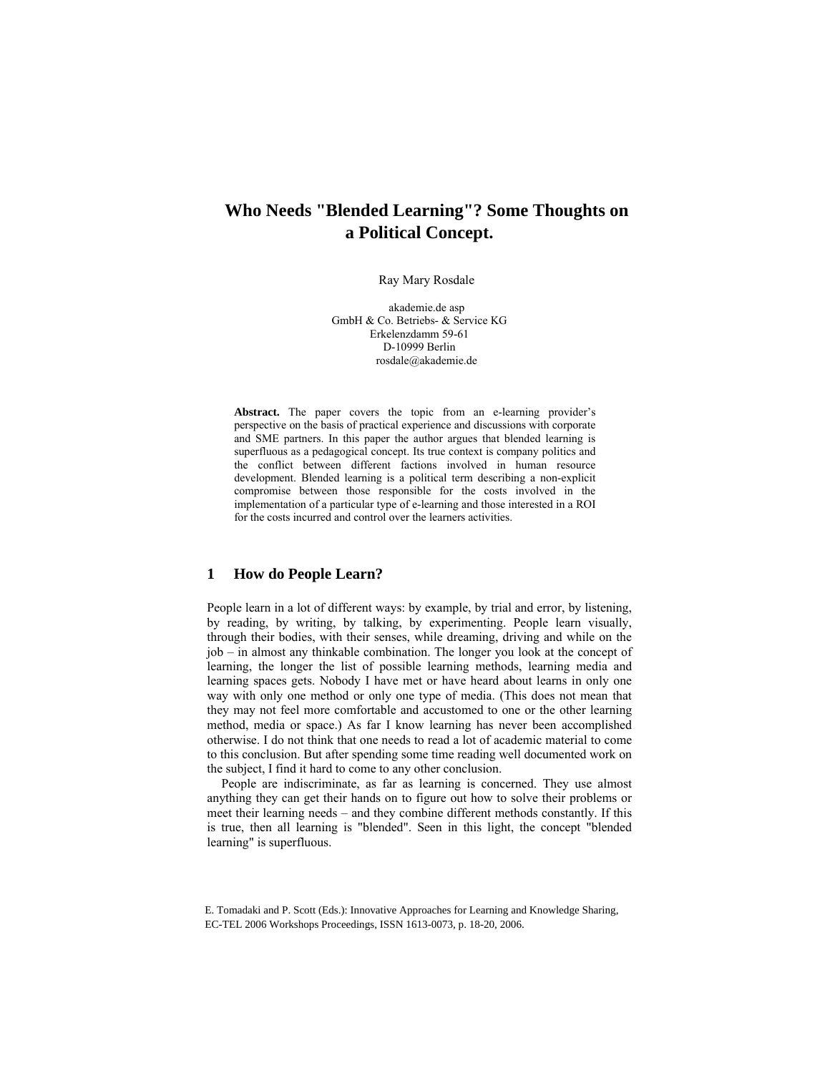# **Who Needs "Blended Learning"? Some Thoughts on a Political Concept.**

Ray Mary Rosdale

akademie.de asp GmbH & Co. Betriebs- & Service KG Erkelenzdamm 59-61 D-10999 Berlin rosdale@akademie.de

Abstract. The paper covers the topic from an e-learning provider's perspective on the basis of practical experience and discussions with corporate and SME partners. In this paper the author argues that blended learning is superfluous as a pedagogical concept. Its true context is company politics and the conflict between different factions involved in human resource development. Blended learning is a political term describing a non-explicit compromise between those responsible for the costs involved in the implementation of a particular type of e-learning and those interested in a ROI for the costs incurred and control over the learners activities.

## **1 How do People Learn?**

People learn in a lot of different ways: by example, by trial and error, by listening, by reading, by writing, by talking, by experimenting. People learn visually, through their bodies, with their senses, while dreaming, driving and while on the job – in almost any thinkable combination. The longer you look at the concept of learning, the longer the list of possible learning methods, learning media and learning spaces gets. Nobody I have met or have heard about learns in only one way with only one method or only one type of media. (This does not mean that they may not feel more comfortable and accustomed to one or the other learning method, media or space.) As far I know learning has never been accomplished otherwise. I do not think that one needs to read a lot of academic material to come to this conclusion. But after spending some time reading well documented work on the subject, I find it hard to come to any other conclusion.

People are indiscriminate, as far as learning is concerned. They use almost anything they can get their hands on to figure out how to solve their problems or meet their learning needs – and they combine different methods constantly. If this is true, then all learning is "blended". Seen in this light, the concept "blended learning" is superfluous.

E. Tomadaki and P. Scott (Eds.): Innovative Approaches for Learning and Knowledge Sharing, EC-TEL 2006 Workshops Proceedings, ISSN 1613-0073, p. 18-20, 2006.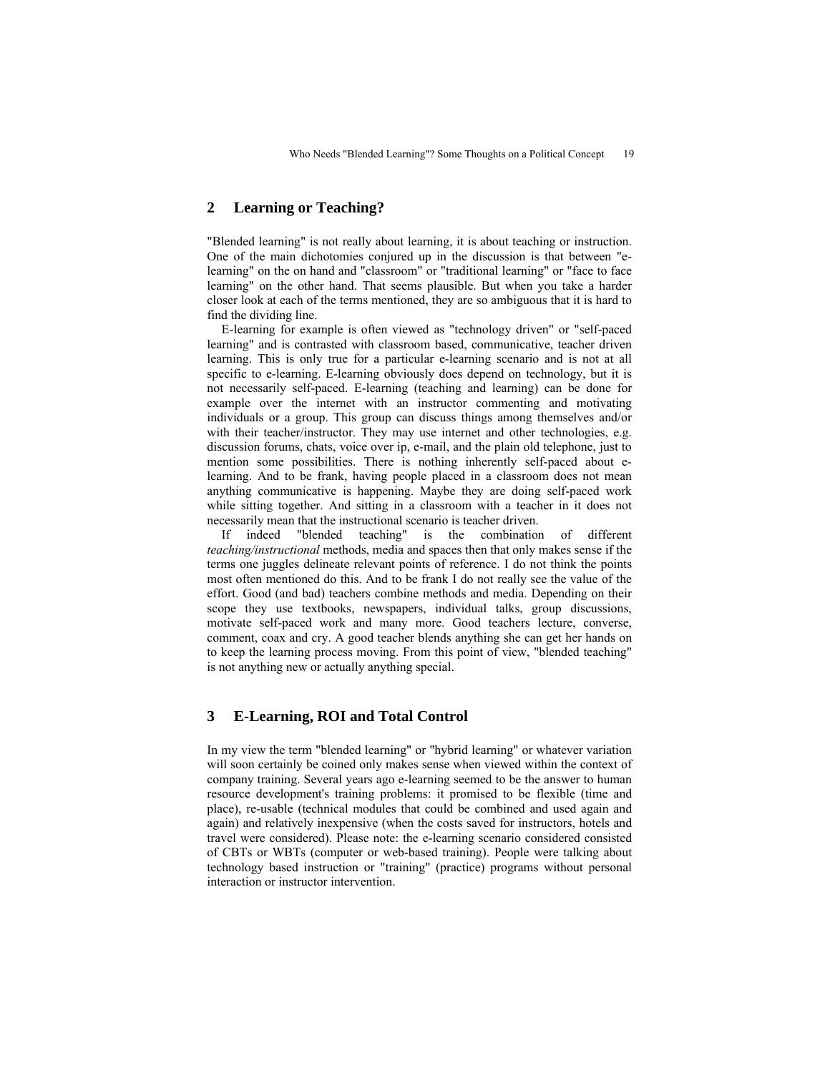# **2 Learning or Teaching?**

"Blended learning" is not really about learning, it is about teaching or instruction. One of the main dichotomies conjured up in the discussion is that between "elearning" on the on hand and "classroom" or "traditional learning" or "face to face learning" on the other hand. That seems plausible. But when you take a harder closer look at each of the terms mentioned, they are so ambiguous that it is hard to find the dividing line.

E-learning for example is often viewed as "technology driven" or "self-paced learning" and is contrasted with classroom based, communicative, teacher driven learning. This is only true for a particular e-learning scenario and is not at all specific to e-learning. E-learning obviously does depend on technology, but it is not necessarily self-paced. E-learning (teaching and learning) can be done for example over the internet with an instructor commenting and motivating individuals or a group. This group can discuss things among themselves and/or with their teacher/instructor. They may use internet and other technologies, e.g. discussion forums, chats, voice over ip, e-mail, and the plain old telephone, just to mention some possibilities. There is nothing inherently self-paced about elearning. And to be frank, having people placed in a classroom does not mean anything communicative is happening. Maybe they are doing self-paced work while sitting together. And sitting in a classroom with a teacher in it does not necessarily mean that the instructional scenario is teacher driven.

If indeed "blended teaching" is the combination of different *teaching/instructional* methods, media and spaces then that only makes sense if the terms one juggles delineate relevant points of reference. I do not think the points most often mentioned do this. And to be frank I do not really see the value of the effort. Good (and bad) teachers combine methods and media. Depending on their scope they use textbooks, newspapers, individual talks, group discussions, motivate self-paced work and many more. Good teachers lecture, converse, comment, coax and cry. A good teacher blends anything she can get her hands on to keep the learning process moving. From this point of view, "blended teaching" is not anything new or actually anything special.

### **3 E-Learning, ROI and Total Control**

In my view the term "blended learning" or "hybrid learning" or whatever variation will soon certainly be coined only makes sense when viewed within the context of company training. Several years ago e-learning seemed to be the answer to human resource development's training problems: it promised to be flexible (time and place), re-usable (technical modules that could be combined and used again and again) and relatively inexpensive (when the costs saved for instructors, hotels and travel were considered). Please note: the e-learning scenario considered consisted of CBTs or WBTs (computer or web-based training). People were talking about technology based instruction or "training" (practice) programs without personal interaction or instructor intervention.